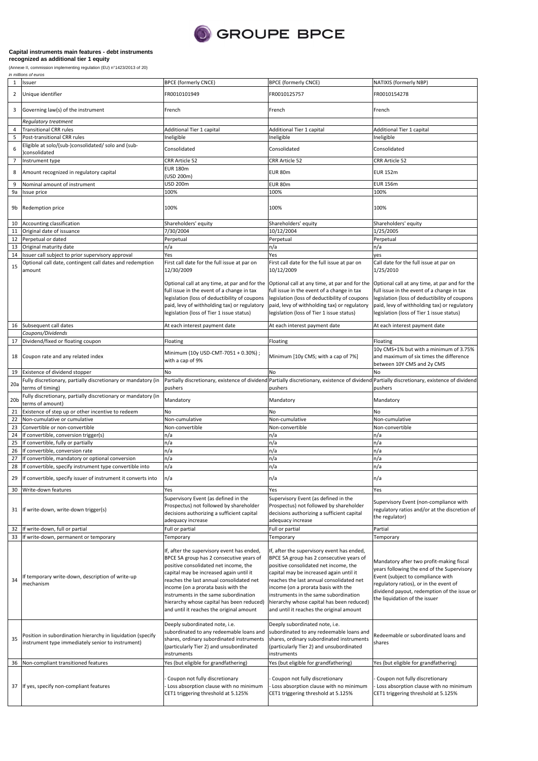

## **Capital instruments main features - debt instruments**

**recognized as additional tier 1 equity**

(Annexe II, commission implementing regulation (EU) n°1423/2013 of 20)

|                 | in millions of euros                                                                                             |                                                                                                                                                                                                                                                                                                                                                                                                 |                                                                                                                                                                                                                                                                                                                                                                                                 |                                                                                                                                                                                                                                                       |  |  |
|-----------------|------------------------------------------------------------------------------------------------------------------|-------------------------------------------------------------------------------------------------------------------------------------------------------------------------------------------------------------------------------------------------------------------------------------------------------------------------------------------------------------------------------------------------|-------------------------------------------------------------------------------------------------------------------------------------------------------------------------------------------------------------------------------------------------------------------------------------------------------------------------------------------------------------------------------------------------|-------------------------------------------------------------------------------------------------------------------------------------------------------------------------------------------------------------------------------------------------------|--|--|
| $\mathbf{1}$    | Issuer                                                                                                           | <b>BPCE (formerly CNCE)</b>                                                                                                                                                                                                                                                                                                                                                                     | <b>BPCE (formerly CNCE)</b>                                                                                                                                                                                                                                                                                                                                                                     | NATIXIS (formerly NBP)                                                                                                                                                                                                                                |  |  |
| $\overline{2}$  | Unique identifier                                                                                                | FR0010101949                                                                                                                                                                                                                                                                                                                                                                                    | FR0010125757                                                                                                                                                                                                                                                                                                                                                                                    | FR0010154278                                                                                                                                                                                                                                          |  |  |
| 3               | Governing law(s) of the instrument                                                                               | French                                                                                                                                                                                                                                                                                                                                                                                          | French                                                                                                                                                                                                                                                                                                                                                                                          | French                                                                                                                                                                                                                                                |  |  |
|                 | <b>Regulatory treatment</b>                                                                                      |                                                                                                                                                                                                                                                                                                                                                                                                 |                                                                                                                                                                                                                                                                                                                                                                                                 |                                                                                                                                                                                                                                                       |  |  |
| 4               | <b>Transitional CRR rules</b>                                                                                    | Additional Tier 1 capital                                                                                                                                                                                                                                                                                                                                                                       | Additional Tier 1 capital                                                                                                                                                                                                                                                                                                                                                                       | Additional Tier 1 capital                                                                                                                                                                                                                             |  |  |
|                 |                                                                                                                  |                                                                                                                                                                                                                                                                                                                                                                                                 |                                                                                                                                                                                                                                                                                                                                                                                                 |                                                                                                                                                                                                                                                       |  |  |
| 5               | Post-transitional CRR rules                                                                                      | Ineligible                                                                                                                                                                                                                                                                                                                                                                                      | Ineligible                                                                                                                                                                                                                                                                                                                                                                                      | Ineligible                                                                                                                                                                                                                                            |  |  |
|                 | Eligible at solo/(sub-)consolidated/ solo and (sub-                                                              |                                                                                                                                                                                                                                                                                                                                                                                                 |                                                                                                                                                                                                                                                                                                                                                                                                 |                                                                                                                                                                                                                                                       |  |  |
| 6               | consolidated                                                                                                     | Consolidated                                                                                                                                                                                                                                                                                                                                                                                    | Consolidated                                                                                                                                                                                                                                                                                                                                                                                    | Consolidated                                                                                                                                                                                                                                          |  |  |
| 7               | Instrument type                                                                                                  | CRR Article 52                                                                                                                                                                                                                                                                                                                                                                                  | CRR Article 52                                                                                                                                                                                                                                                                                                                                                                                  | CRR Article 52                                                                                                                                                                                                                                        |  |  |
|                 |                                                                                                                  |                                                                                                                                                                                                                                                                                                                                                                                                 |                                                                                                                                                                                                                                                                                                                                                                                                 |                                                                                                                                                                                                                                                       |  |  |
| 8               | Amount recognized in regulatory capital                                                                          | <b>EUR 180m</b>                                                                                                                                                                                                                                                                                                                                                                                 | EUR 80m                                                                                                                                                                                                                                                                                                                                                                                         | <b>EUR 152m</b>                                                                                                                                                                                                                                       |  |  |
|                 |                                                                                                                  | (USD 200m)                                                                                                                                                                                                                                                                                                                                                                                      |                                                                                                                                                                                                                                                                                                                                                                                                 |                                                                                                                                                                                                                                                       |  |  |
| 9               | Nominal amount of instrument                                                                                     | USD 200m                                                                                                                                                                                                                                                                                                                                                                                        | EUR 80m                                                                                                                                                                                                                                                                                                                                                                                         | <b>EUR 156m</b>                                                                                                                                                                                                                                       |  |  |
| 9a              | Issue price                                                                                                      | 100%                                                                                                                                                                                                                                                                                                                                                                                            | 100%                                                                                                                                                                                                                                                                                                                                                                                            | 100%                                                                                                                                                                                                                                                  |  |  |
|                 |                                                                                                                  |                                                                                                                                                                                                                                                                                                                                                                                                 |                                                                                                                                                                                                                                                                                                                                                                                                 |                                                                                                                                                                                                                                                       |  |  |
| 9b              | Redemption price                                                                                                 | 100%                                                                                                                                                                                                                                                                                                                                                                                            | 100%                                                                                                                                                                                                                                                                                                                                                                                            | 100%                                                                                                                                                                                                                                                  |  |  |
| 10              | Accounting classification                                                                                        | Shareholders' equity                                                                                                                                                                                                                                                                                                                                                                            | Shareholders' equity                                                                                                                                                                                                                                                                                                                                                                            | Shareholders' equity                                                                                                                                                                                                                                  |  |  |
| 11              | Original date of issuance                                                                                        | 7/30/2004                                                                                                                                                                                                                                                                                                                                                                                       | 10/12/2004                                                                                                                                                                                                                                                                                                                                                                                      | 1/25/2005                                                                                                                                                                                                                                             |  |  |
|                 |                                                                                                                  |                                                                                                                                                                                                                                                                                                                                                                                                 |                                                                                                                                                                                                                                                                                                                                                                                                 |                                                                                                                                                                                                                                                       |  |  |
| 12              | Perpetual or dated                                                                                               | Perpetual                                                                                                                                                                                                                                                                                                                                                                                       | Perpetual                                                                                                                                                                                                                                                                                                                                                                                       | Perpetual                                                                                                                                                                                                                                             |  |  |
| 13              | Original maturity date                                                                                           | n/a                                                                                                                                                                                                                                                                                                                                                                                             | n/a                                                                                                                                                                                                                                                                                                                                                                                             | n/a                                                                                                                                                                                                                                                   |  |  |
| 14              | Issuer call subject to prior supervisory approval                                                                | Yes                                                                                                                                                                                                                                                                                                                                                                                             | Yes                                                                                                                                                                                                                                                                                                                                                                                             | yes                                                                                                                                                                                                                                                   |  |  |
|                 | Optional call date, contingent call dates and redemption                                                         | First call date for the full issue at par on                                                                                                                                                                                                                                                                                                                                                    | First call date for the full issue at par on                                                                                                                                                                                                                                                                                                                                                    | Call date for the full issue at par on                                                                                                                                                                                                                |  |  |
| 15              | amount                                                                                                           | 12/30/2009                                                                                                                                                                                                                                                                                                                                                                                      | 10/12/2009                                                                                                                                                                                                                                                                                                                                                                                      | 1/25/2010                                                                                                                                                                                                                                             |  |  |
|                 |                                                                                                                  |                                                                                                                                                                                                                                                                                                                                                                                                 | Optional call at any time, at par and for the Optional call at any time, at par and for the                                                                                                                                                                                                                                                                                                     | Optional call at any time, at par and for the                                                                                                                                                                                                         |  |  |
|                 |                                                                                                                  | full issue in the event of a change in tax                                                                                                                                                                                                                                                                                                                                                      | full issue in the event of a change in tax                                                                                                                                                                                                                                                                                                                                                      | full issue in the event of a change in tax                                                                                                                                                                                                            |  |  |
|                 |                                                                                                                  | legislation (loss of deductibility of coupons                                                                                                                                                                                                                                                                                                                                                   | legislation (loss of deductibility of coupons                                                                                                                                                                                                                                                                                                                                                   | legislation (loss of deductibility of coupons                                                                                                                                                                                                         |  |  |
|                 |                                                                                                                  | paid, levy of withholding tax) or regulatory                                                                                                                                                                                                                                                                                                                                                    | paid, levy of withholding tax) or regulatory                                                                                                                                                                                                                                                                                                                                                    | paid, levy of withholding tax) or regulatory                                                                                                                                                                                                          |  |  |
|                 |                                                                                                                  | legislation (loss of Tier 1 issue status)                                                                                                                                                                                                                                                                                                                                                       | legislation (loss of Tier 1 issue status)                                                                                                                                                                                                                                                                                                                                                       | legislation (loss of Tier 1 issue status)                                                                                                                                                                                                             |  |  |
|                 |                                                                                                                  |                                                                                                                                                                                                                                                                                                                                                                                                 |                                                                                                                                                                                                                                                                                                                                                                                                 |                                                                                                                                                                                                                                                       |  |  |
| 16              | Subsequent call dates                                                                                            | At each interest payment date                                                                                                                                                                                                                                                                                                                                                                   | At each interest payment date                                                                                                                                                                                                                                                                                                                                                                   | At each interest payment date                                                                                                                                                                                                                         |  |  |
|                 | Coupons/Dividends                                                                                                |                                                                                                                                                                                                                                                                                                                                                                                                 |                                                                                                                                                                                                                                                                                                                                                                                                 |                                                                                                                                                                                                                                                       |  |  |
| 17              | Dividend/fixed or floating coupon                                                                                | Floating                                                                                                                                                                                                                                                                                                                                                                                        | Floating                                                                                                                                                                                                                                                                                                                                                                                        | Floating                                                                                                                                                                                                                                              |  |  |
|                 |                                                                                                                  |                                                                                                                                                                                                                                                                                                                                                                                                 |                                                                                                                                                                                                                                                                                                                                                                                                 |                                                                                                                                                                                                                                                       |  |  |
|                 |                                                                                                                  | Minimum (10y USD-CMT-7051 + 0.30%);                                                                                                                                                                                                                                                                                                                                                             |                                                                                                                                                                                                                                                                                                                                                                                                 | 10y CMS+1% but with a minimum of 3.75%                                                                                                                                                                                                                |  |  |
| 18              | Coupon rate and any related index                                                                                | with a cap of 9%                                                                                                                                                                                                                                                                                                                                                                                | Minimum [10y CMS; with a cap of 7%]                                                                                                                                                                                                                                                                                                                                                             | and maximum of six times the difference                                                                                                                                                                                                               |  |  |
|                 |                                                                                                                  |                                                                                                                                                                                                                                                                                                                                                                                                 |                                                                                                                                                                                                                                                                                                                                                                                                 | between 10Y CMS and 2y CMS                                                                                                                                                                                                                            |  |  |
| 19              | Existence of dividend stopper                                                                                    | No                                                                                                                                                                                                                                                                                                                                                                                              | No                                                                                                                                                                                                                                                                                                                                                                                              | No                                                                                                                                                                                                                                                    |  |  |
|                 | Fully discretionary, partially discretionary or mandatory (in                                                    |                                                                                                                                                                                                                                                                                                                                                                                                 | Partially discretionary, existence of dividend Partially discretionary, existence of dividend                                                                                                                                                                                                                                                                                                   |                                                                                                                                                                                                                                                       |  |  |
| 20a             |                                                                                                                  |                                                                                                                                                                                                                                                                                                                                                                                                 |                                                                                                                                                                                                                                                                                                                                                                                                 | Partially discretionary, existence of dividend                                                                                                                                                                                                        |  |  |
|                 | terms of timing)                                                                                                 | pushers                                                                                                                                                                                                                                                                                                                                                                                         | pushers                                                                                                                                                                                                                                                                                                                                                                                         | pushers                                                                                                                                                                                                                                               |  |  |
| 20 <sub>b</sub> | Fully discretionary, partially discretionary or mandatory (in                                                    | Mandatory                                                                                                                                                                                                                                                                                                                                                                                       | Mandatory                                                                                                                                                                                                                                                                                                                                                                                       | Mandatory                                                                                                                                                                                                                                             |  |  |
|                 | terms of amount)                                                                                                 |                                                                                                                                                                                                                                                                                                                                                                                                 |                                                                                                                                                                                                                                                                                                                                                                                                 |                                                                                                                                                                                                                                                       |  |  |
| 21              | Existence of step up or other incentive to redeem                                                                | No                                                                                                                                                                                                                                                                                                                                                                                              | No                                                                                                                                                                                                                                                                                                                                                                                              | No                                                                                                                                                                                                                                                    |  |  |
| 22              | Non-cumulative or cumulative                                                                                     | Non-cumulative                                                                                                                                                                                                                                                                                                                                                                                  | Non-cumulative                                                                                                                                                                                                                                                                                                                                                                                  | Non-cumulative                                                                                                                                                                                                                                        |  |  |
|                 |                                                                                                                  |                                                                                                                                                                                                                                                                                                                                                                                                 |                                                                                                                                                                                                                                                                                                                                                                                                 |                                                                                                                                                                                                                                                       |  |  |
| 23              | Convertible or non-convertible                                                                                   | Non-convertible                                                                                                                                                                                                                                                                                                                                                                                 | Non-convertible                                                                                                                                                                                                                                                                                                                                                                                 | Non-convertible                                                                                                                                                                                                                                       |  |  |
| 24              | If convertible, conversion trigger(s)                                                                            | n/a                                                                                                                                                                                                                                                                                                                                                                                             | n/a                                                                                                                                                                                                                                                                                                                                                                                             | n/a                                                                                                                                                                                                                                                   |  |  |
| 25              | If convertible, fully or partially                                                                               | n/a                                                                                                                                                                                                                                                                                                                                                                                             | n/a                                                                                                                                                                                                                                                                                                                                                                                             | n/a                                                                                                                                                                                                                                                   |  |  |
| 26              | If convertible, conversion rate                                                                                  | n/a                                                                                                                                                                                                                                                                                                                                                                                             | n/a                                                                                                                                                                                                                                                                                                                                                                                             | n/a                                                                                                                                                                                                                                                   |  |  |
| 27              | If convertible, mandatory or optional conversion                                                                 | n/a                                                                                                                                                                                                                                                                                                                                                                                             | n/a                                                                                                                                                                                                                                                                                                                                                                                             | n/a                                                                                                                                                                                                                                                   |  |  |
|                 |                                                                                                                  |                                                                                                                                                                                                                                                                                                                                                                                                 |                                                                                                                                                                                                                                                                                                                                                                                                 |                                                                                                                                                                                                                                                       |  |  |
| 28              | If convertible, specify instrument type convertible into                                                         | n/a                                                                                                                                                                                                                                                                                                                                                                                             | n/a                                                                                                                                                                                                                                                                                                                                                                                             | n/a                                                                                                                                                                                                                                                   |  |  |
|                 | 29 If convertible, specify issuer of instrument it converts into                                                 | n/a                                                                                                                                                                                                                                                                                                                                                                                             | n/a                                                                                                                                                                                                                                                                                                                                                                                             | n/a                                                                                                                                                                                                                                                   |  |  |
| 30              | Write-down features                                                                                              | Yes                                                                                                                                                                                                                                                                                                                                                                                             | Yes                                                                                                                                                                                                                                                                                                                                                                                             | Yes                                                                                                                                                                                                                                                   |  |  |
|                 |                                                                                                                  | Supervisory Event (as defined in the                                                                                                                                                                                                                                                                                                                                                            | Supervisory Event (as defined in the                                                                                                                                                                                                                                                                                                                                                            | Supervisory Event (non-compliance with                                                                                                                                                                                                                |  |  |
|                 |                                                                                                                  | Prospectus) not followed by shareholder                                                                                                                                                                                                                                                                                                                                                         | Prospectus) not followed by shareholder                                                                                                                                                                                                                                                                                                                                                         |                                                                                                                                                                                                                                                       |  |  |
|                 | 31 If write-down, write-down trigger(s)                                                                          | decisions authorizing a sufficient capital                                                                                                                                                                                                                                                                                                                                                      | decisions authorizing a sufficient capital                                                                                                                                                                                                                                                                                                                                                      | regulatory ratios and/or at the discretion of                                                                                                                                                                                                         |  |  |
|                 |                                                                                                                  | adequacy increase                                                                                                                                                                                                                                                                                                                                                                               | adequacy increase                                                                                                                                                                                                                                                                                                                                                                               | the regulator)                                                                                                                                                                                                                                        |  |  |
| 32              | If write-down, full or partial                                                                                   | Full or partial                                                                                                                                                                                                                                                                                                                                                                                 | Full or partial                                                                                                                                                                                                                                                                                                                                                                                 | Partial                                                                                                                                                                                                                                               |  |  |
|                 |                                                                                                                  |                                                                                                                                                                                                                                                                                                                                                                                                 |                                                                                                                                                                                                                                                                                                                                                                                                 |                                                                                                                                                                                                                                                       |  |  |
| 33              | If write-down, permanent or temporary                                                                            | Temporary                                                                                                                                                                                                                                                                                                                                                                                       | Temporary                                                                                                                                                                                                                                                                                                                                                                                       | Temporary                                                                                                                                                                                                                                             |  |  |
| 34              | If temporary write-down, description of write-up<br>mechanism                                                    | If, after the supervisory event has ended,<br>BPCE SA group has 2 consecutive years of<br>positive consolidated net income, the<br>capital may be increased again until it<br>reaches the last annual consolidated net<br>income (on a prorata basis with the<br>instruments in the same subordination<br>hierarchy whose capital has been reduced)<br>and until it reaches the original amount | If, after the supervisory event has ended,<br>BPCE SA group has 2 consecutive years of<br>positive consolidated net income, the<br>capital may be increased again until it<br>reaches the last annual consolidated net<br>income (on a prorata basis with the<br>instruments in the same subordination<br>hierarchy whose capital has been reduced)<br>and until it reaches the original amount | Mandatory after two profit-making fiscal<br>years following the end of the Supervisory<br>Event (subject to compliance with<br>regulatory ratios), or in the event of<br>dividend payout, redemption of the issue or<br>the liquidation of the issuer |  |  |
| 35              | Position in subordination hierarchy in liquidation (specify<br>instrument type immediately senior to instrument) | Deeply subordinated note, i.e.<br>subordinated to any redeemable loans and<br>shares, ordinary subordinated instruments<br>(particularly Tier 2) and unsubordinated<br>instruments                                                                                                                                                                                                              | Deeply subordinated note, i.e.<br>subordinated to any redeemable loans and<br>shares, ordinary subordinated instruments<br>(particularly Tier 2) and unsubordinated<br>instruments                                                                                                                                                                                                              | Redeemable or subordinated loans and<br>shares                                                                                                                                                                                                        |  |  |
| 36              | Non-compliant transitioned features                                                                              | Yes (but eligible for grandfathering)                                                                                                                                                                                                                                                                                                                                                           | Yes (but eligible for grandfathering)                                                                                                                                                                                                                                                                                                                                                           | Yes (but eligible for grandfathering)                                                                                                                                                                                                                 |  |  |
|                 | 37 If yes, specify non-compliant features                                                                        | Coupon not fully discretionary<br>Loss absorption clause with no minimum<br>CET1 triggering threshold at 5.125%                                                                                                                                                                                                                                                                                 | Coupon not fully discretionary<br>Loss absorption clause with no minimum<br>CET1 triggering threshold at 5.125%                                                                                                                                                                                                                                                                                 | Coupon not fully discretionary<br>Loss absorption clause with no minimum<br>CET1 triggering threshold at 5.125%                                                                                                                                       |  |  |
|                 |                                                                                                                  |                                                                                                                                                                                                                                                                                                                                                                                                 |                                                                                                                                                                                                                                                                                                                                                                                                 |                                                                                                                                                                                                                                                       |  |  |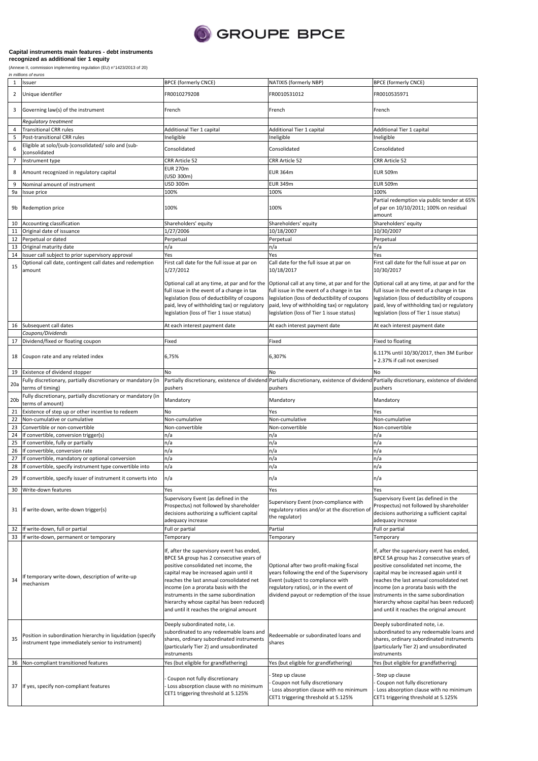

## **Capital instruments main features - debt instruments**

**recognized as additional tier 1 equity**

(Annexe II, commission implementing regulation (EU) n°1423/2013 of 20)

|                 | in millions of euros                                                                    |                                               |                                                                                               |                                                  |
|-----------------|-----------------------------------------------------------------------------------------|-----------------------------------------------|-----------------------------------------------------------------------------------------------|--------------------------------------------------|
| 1               | Issuer                                                                                  | <b>BPCE (formerly CNCE)</b>                   | NATIXIS (formerly NBP)                                                                        | <b>BPCE (formerly CNCE)</b>                      |
| 2               | Unique identifier                                                                       | FR0010279208                                  | FR0010531012                                                                                  | FR0010535971                                     |
| 3               | Governing law(s) of the instrument                                                      | French                                        | French                                                                                        | French                                           |
|                 | Regulatory treatment                                                                    |                                               |                                                                                               |                                                  |
| 4               | <b>Transitional CRR rules</b>                                                           | Additional Tier 1 capital                     | Additional Tier 1 capital                                                                     | Additional Tier 1 capital                        |
|                 |                                                                                         |                                               |                                                                                               |                                                  |
| 5               | Post-transitional CRR rules                                                             | Ineligible                                    | Ineligible                                                                                    | Ineligible                                       |
|                 | Eligible at solo/(sub-)consolidated/ solo and (sub-                                     |                                               |                                                                                               |                                                  |
| 6               | consolidated                                                                            | Consolidated                                  | Consolidated                                                                                  | Consolidated                                     |
| $\overline{7}$  | Instrument type                                                                         | CRR Article 52                                | CRR Article 52                                                                                | CRR Article 52                                   |
|                 |                                                                                         |                                               |                                                                                               |                                                  |
| 8               | Amount recognized in regulatory capital                                                 | <b>EUR 270m</b>                               | <b>EUR 364m</b>                                                                               | <b>EUR 509m</b>                                  |
|                 |                                                                                         | (USD 300m)                                    |                                                                                               |                                                  |
| 9               | Nominal amount of instrument                                                            | USD 300m                                      | <b>EUR 349m</b>                                                                               | <b>EUR 509m</b>                                  |
| 9a              | Issue price                                                                             | 100%                                          | 100%                                                                                          | 100%                                             |
|                 |                                                                                         |                                               |                                                                                               | Partial redemption via public tender at 65%      |
| 9b              | Redemption price                                                                        | 100%                                          | 100%                                                                                          | of par on 10/10/2011; 100% on residual<br>amount |
| 10              | Accounting classification                                                               | Shareholders' equity                          | Shareholders' equity                                                                          | Shareholders' equity                             |
|                 |                                                                                         |                                               |                                                                                               |                                                  |
| 11              | Original date of issuance                                                               | 1/27/2006                                     | 10/18/2007                                                                                    | 10/30/2007                                       |
| 12              | Perpetual or dated                                                                      | Perpetual                                     | Perpetual                                                                                     | Perpetual                                        |
| 13              | Original maturity date                                                                  | n/a                                           | n/a                                                                                           | n/a                                              |
| 14              | Issuer call subject to prior supervisory approval                                       | Yes                                           | Yes                                                                                           | Yes                                              |
|                 | Optional call date, contingent call dates and redemption                                | First call date for the full issue at par on  | Call date for the full issue at par on                                                        | First call date for the full issue at par on     |
| 15              | amount                                                                                  | 1/27/2012                                     | 10/18/2017                                                                                    | 10/30/2017                                       |
|                 |                                                                                         | Optional call at any time, at par and for the | Optional call at any time, at par and for the Optional call at any time, at par and for the   |                                                  |
|                 |                                                                                         | full issue in the event of a change in tax    | full issue in the event of a change in tax                                                    | full issue in the event of a change in tax       |
|                 |                                                                                         | legislation (loss of deductibility of coupons | legislation (loss of deductibility of coupons                                                 | legislation (loss of deductibility of coupons    |
|                 |                                                                                         | paid, levy of withholding tax) or regulatory  | paid, levy of withholding tax) or regulatory                                                  | paid, levy of withholding tax) or regulatory     |
|                 |                                                                                         | legislation (loss of Tier 1 issue status)     | legislation (loss of Tier 1 issue status)                                                     | legislation (loss of Tier 1 issue status)        |
|                 |                                                                                         |                                               |                                                                                               |                                                  |
| 16              | Subsequent call dates                                                                   | At each interest payment date                 | At each interest payment date                                                                 | At each interest payment date                    |
|                 | Coupons/Dividends                                                                       |                                               |                                                                                               |                                                  |
|                 |                                                                                         |                                               |                                                                                               |                                                  |
| 17              | Dividend/fixed or floating coupon                                                       | Fixed                                         | Fixed                                                                                         | Fixed to floating                                |
|                 |                                                                                         |                                               |                                                                                               | 6.117% until 10/30/2017, then 3M Euribor         |
| 18              | Coupon rate and any related index                                                       | 6,75%                                         | 6,307%                                                                                        |                                                  |
|                 |                                                                                         |                                               |                                                                                               | + 2.37% if call not exercised                    |
| 19              | Existence of dividend stopper                                                           | No                                            | No                                                                                            | No                                               |
|                 |                                                                                         |                                               |                                                                                               |                                                  |
| 20a             | Fully discretionary, partially discretionary or mandatory (in                           |                                               | Partially discretionary, existence of dividend Partially discretionary, existence of dividend | Partially discretionary, existence of dividend   |
|                 | terms of timing)                                                                        | pushers                                       | pushers                                                                                       | pushers                                          |
|                 | Fully discretionary, partially discretionary or mandatory (in                           |                                               |                                                                                               |                                                  |
| 20 <sub>b</sub> | terms of amount)                                                                        | Mandatory                                     | Mandatory                                                                                     | Mandatory                                        |
| 21              | Existence of step up or other incentive to redeem                                       | No                                            | Yes                                                                                           | Yes                                              |
|                 |                                                                                         |                                               |                                                                                               |                                                  |
| 22              | Non-cumulative or cumulative                                                            | Non-cumulative                                | Non-cumulative                                                                                | Non-cumulative                                   |
| 23              | Convertible or non-convertible                                                          | Non-convertible                               | Non-convertible                                                                               | Non-convertible                                  |
| 24              | If convertible, conversion trigger(s)                                                   | n/a                                           | n/a                                                                                           | n/a                                              |
| 25              | If convertible, fully or partially                                                      | n/a                                           | n/a                                                                                           | n/a                                              |
| 26              | If convertible, conversion rate                                                         | n/a                                           | n/a                                                                                           | n/a                                              |
|                 |                                                                                         |                                               |                                                                                               |                                                  |
| 27              | If convertible, mandatory or optional conversion                                        | n/a                                           | n/a                                                                                           | n/a                                              |
| 28              | If convertible, specify instrument type convertible into                                | n/a                                           | n/a                                                                                           | n/a                                              |
|                 |                                                                                         |                                               |                                                                                               |                                                  |
| 30              | 29 If convertible, specify issuer of instrument it converts into<br>Write-down features | n/a<br>Yes                                    | n/a<br>Yes                                                                                    | n/a<br>Yes                                       |
|                 |                                                                                         | Supervisory Event (as defined in the          |                                                                                               | Supervisory Event (as defined in the             |
|                 |                                                                                         |                                               | Supervisory Event (non-compliance with                                                        |                                                  |
| 31              | If write-down, write-down trigger(s)                                                    | Prospectus) not followed by shareholder       | regulatory ratios and/or at the discretion of                                                 | Prospectus) not followed by shareholder          |
|                 |                                                                                         | decisions authorizing a sufficient capital    | the regulator)                                                                                | decisions authorizing a sufficient capital       |
|                 |                                                                                         | adequacy increase                             |                                                                                               | adequacy increase                                |
| 32              | If write-down, full or partial                                                          | Full or partial                               | Partial                                                                                       | Full or partial                                  |
| 33              | If write-down, permanent or temporary                                                   | Temporary                                     | Temporary                                                                                     | Temporary                                        |
|                 |                                                                                         |                                               |                                                                                               |                                                  |
|                 |                                                                                         | If, after the supervisory event has ended,    |                                                                                               | If, after the supervisory event has ended,       |
|                 |                                                                                         |                                               |                                                                                               |                                                  |
|                 |                                                                                         | BPCE SA group has 2 consecutive years of      |                                                                                               | BPCE SA group has 2 consecutive years of         |
|                 |                                                                                         | positive consolidated net income, the         | Optional after two profit-making fiscal                                                       | positive consolidated net income, the            |
|                 | If temporary write-down, description of write-up                                        | capital may be increased again until it       | years following the end of the Supervisory                                                    | capital may be increased again until it          |
| 34              |                                                                                         | reaches the last annual consolidated net      | Event (subject to compliance with                                                             | reaches the last annual consolidated net         |
|                 | mechanism                                                                               | income (on a prorata basis with the           | regulatory ratios), or in the event of                                                        | income (on a prorata basis with the              |
|                 |                                                                                         | instruments in the same subordination         | dividend payout or redemption of the issue                                                    | instruments in the same subordination            |
|                 |                                                                                         |                                               |                                                                                               |                                                  |
|                 |                                                                                         | hierarchy whose capital has been reduced)     |                                                                                               | hierarchy whose capital has been reduced)        |
|                 |                                                                                         | and until it reaches the original amount      |                                                                                               | and until it reaches the original amount         |
|                 |                                                                                         |                                               |                                                                                               |                                                  |
|                 |                                                                                         | Deeply subordinated note, i.e.                |                                                                                               | Deeply subordinated note, i.e.                   |
|                 |                                                                                         | subordinated to any redeemable loans and      |                                                                                               | subordinated to any redeemable loans and         |
| 35              | Position in subordination hierarchy in liquidation (specify                             | shares, ordinary subordinated instruments     | Redeemable or subordinated loans and                                                          | shares, ordinary subordinated instruments        |
|                 | instrument type immediately senior to instrument)                                       | (particularly Tier 2) and unsubordinated      | shares                                                                                        | (particularly Tier 2) and unsubordinated         |
|                 |                                                                                         |                                               |                                                                                               |                                                  |
|                 |                                                                                         | instruments                                   |                                                                                               | instruments                                      |
|                 | 36 Non-compliant transitioned features                                                  | Yes (but eligible for grandfathering)         | Yes (but eligible for grandfathering)                                                         | Yes (but eligible for grandfathering)            |
|                 |                                                                                         |                                               |                                                                                               |                                                  |
|                 |                                                                                         |                                               | Step up clause                                                                                | Step up clause                                   |
|                 |                                                                                         |                                               |                                                                                               |                                                  |
|                 |                                                                                         | Coupon not fully discretionary                | Coupon not fully discretionary                                                                | Coupon not fully discretionary                   |
|                 | 37 If yes, specify non-compliant features                                               | Loss absorption clause with no minimum        |                                                                                               |                                                  |
|                 |                                                                                         | CET1 triggering threshold at 5.125%           | Loss absorption clause with no minimum                                                        | Loss absorption clause with no minimum           |
|                 |                                                                                         |                                               | CET1 triggering threshold at 5.125%                                                           | CET1 triggering threshold at 5.125%              |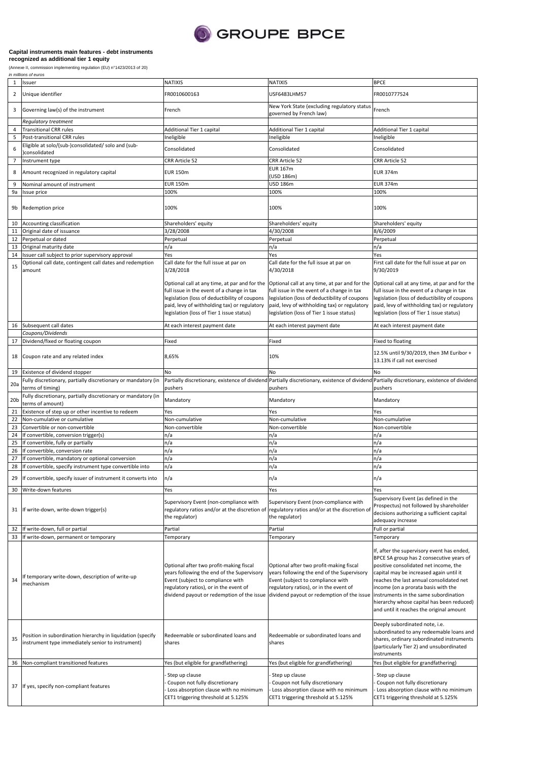

## **Capital instruments main features - debt instruments**

(Annexe II, commission implementing regulation (EU) n°1423/2013 of 20) **recognized as additional tier 1 equity**

| Issuer<br><b>NATIXIS</b><br>$\mathbf{1}$<br>$\overline{2}$<br>Unique identifier<br>FR0010600163<br>USF6483LHM57<br>FR0010777524<br>New York State (excluding regulatory status<br>French<br>3<br>Governing law(s) of the instrument<br>French<br>governed by French law)<br>Regulatory treatment<br><b>Transitional CRR rules</b><br>Additional Tier 1 capital<br>Additional Tier 1 capital<br>Additional Tier 1 capital<br>4<br>Post-transitional CRR rules<br>Ineligible<br>Ineligible<br>5<br>Ineligible<br>Eligible at solo/(sub-)consolidated/ solo and (sub-<br>6<br>Consolidated<br>Consolidated<br>Consolidated<br>consolidated<br>CRR Article 52<br>CRR Article 52<br>7<br>Instrument type<br><b>CRR Article 52</b><br><b>EUR 167m</b><br>8<br>Amount recognized in regulatory capital<br><b>EUR 150m</b><br><b>EUR 374m</b><br>(USD 186m)<br><b>EUR 150m</b><br><b>USD 186m</b><br><b>EUR 374m</b><br>Nominal amount of instrument<br>9<br>100%<br>100%<br>100%<br>9a<br>Issue price<br>100%<br>100%<br>Redemption price<br>100%<br>9b<br>Accounting classification<br>Shareholders' equity<br>Shareholders' equity<br>Shareholders' equity<br>10<br>Original date of issuance<br>3/28/2008<br>4/30/2008<br>8/6/2009<br>11<br>Perpetual or dated<br>Perpetual<br>Perpetual<br>12<br>Perpetual<br>n/a<br>n/a<br>13<br>Original maturity date<br>n/a<br>Yes<br>Yes<br>14<br>Issuer call subject to prior supervisory approval<br>Yes<br>Optional call date, contingent call dates and redemption<br>Call date for the full issue at par on<br>Call date for the full issue at par on<br>15<br>4/30/2018<br>9/30/2019<br>amount<br>3/28/2018<br>Optional call at any time, at par and for the Optional call at any time, at par and for the<br>full issue in the event of a change in tax<br>full issue in the event of a change in tax<br>legislation (loss of deductibility of coupons<br>legislation (loss of deductibility of coupons<br>paid, levy of withholding tax) or regulatory<br>paid, levy of withholding tax) or regulatory<br>legislation (loss of Tier 1 issue status)<br>legislation (loss of Tier 1 issue status)<br>Subsequent call dates<br>16<br>At each interest payment date<br>At each interest payment date<br>At each interest payment date<br>Coupons/Dividends<br>17<br>Dividend/fixed or floating coupon<br>Fixed to floating<br>Fixed<br>Fixed<br>Coupon rate and any related index<br>8,65%<br>10%<br>18<br>13.13% if call not exercised<br>Existence of dividend stopper<br>19<br>No<br>No<br>No<br>Fully discretionary, partially discretionary or mandatory (in<br>Partially discretionary, existence of dividend Partially discretionary, existence of dividend<br>Partially discretionary, existence of dividend<br>20a<br>terms of timing)<br>pushers<br>pushers<br>pushers<br>Fully discretionary, partially discretionary or mandatory (in<br>20 <sub>b</sub><br>Mandatory<br>Mandatory<br>Mandatory<br>terms of amount)<br>Existence of step up or other incentive to redeem<br>Yes<br>Yes<br>21<br>Yes<br>22<br>Non-cumulative or cumulative<br>Non-cumulative<br>Non-cumulative<br>Non-cumulative<br>23<br>Convertible or non-convertible<br>Non-convertible<br>Non-convertible<br>Non-convertible<br>If convertible, conversion trigger(s)<br>n/a<br>n/a<br>24<br>n/a<br>If convertible, fully or partially<br>n/a<br>n/a<br>25<br>n/a<br>If convertible, conversion rate<br>n/a<br>n/a<br>n/a<br>26<br>If convertible, mandatory or optional conversion<br>n/a<br>27<br>n/a<br>n/a<br>n/a<br>n/a<br>n/a<br>28<br>If convertible, specify instrument type convertible into<br>29<br>If convertible, specify issuer of instrument it converts into<br>n/a<br>n/a<br>n/a<br>Yes<br>30<br>Write-down features<br>Yes<br>Yes<br>Supervisory Event (non-compliance with<br>Supervisory Event (non-compliance with<br>regulatory ratios and/or at the discretion of<br>If write-down, write-down trigger(s)<br>regulatory ratios and/or at the discretion of<br>31<br>the regulator)<br>the regulator)<br>adequacy increase<br>If write-down, full or partial<br>Partial<br>Full or partial<br>32<br>Partial<br>33<br>If write-down, permanent or temporary<br>Temporary<br>Temporary<br>Temporary<br>Optional after two profit-making fiscal<br>Optional after two profit-making fiscal<br>years following the end of the Supervisory<br>years following the end of the Supervisory<br>If temporary write-down, description of write-up<br>34<br>Event (subject to compliance with<br>Event (subject to compliance with<br>mechanism<br>regulatory ratios), or in the event of<br>regulatory ratios), or in the event of<br>dividend payout or redemption of the issue dividend payout or redemption of the issue<br>Deeply subordinated note, i.e.<br>Position in subordination hierarchy in liquidation (specify<br>Redeemable or subordinated loans and<br>Redeemable or subordinated loans and<br>35<br>instrument type immediately senior to instrument)<br>shares<br>shares<br>instruments<br>Non-compliant transitioned features<br>Yes (but eligible for grandfathering)<br>Yes (but eligible for grandfathering)<br>36<br>Step up clause<br>Step up clause<br>Step up clause<br>Coupon not fully discretionary<br>Coupon not fully discretionary<br>Coupon not fully discretionary<br>37 If yes, specify non-compliant features<br>Loss absorption clause with no minimum<br>Loss absorption clause with no minimum | in millions of euros |                                     |                                     |                                                                                                                                                                                                                                                                                                                                                                                                 |  |  |
|---------------------------------------------------------------------------------------------------------------------------------------------------------------------------------------------------------------------------------------------------------------------------------------------------------------------------------------------------------------------------------------------------------------------------------------------------------------------------------------------------------------------------------------------------------------------------------------------------------------------------------------------------------------------------------------------------------------------------------------------------------------------------------------------------------------------------------------------------------------------------------------------------------------------------------------------------------------------------------------------------------------------------------------------------------------------------------------------------------------------------------------------------------------------------------------------------------------------------------------------------------------------------------------------------------------------------------------------------------------------------------------------------------------------------------------------------------------------------------------------------------------------------------------------------------------------------------------------------------------------------------------------------------------------------------------------------------------------------------------------------------------------------------------------------------------------------------------------------------------------------------------------------------------------------------------------------------------------------------------------------------------------------------------------------------------------------------------------------------------------------------------------------------------------------------------------------------------------------------------------------------------------------------------------------------------------------------------------------------------------------------------------------------------------------------------------------------------------------------------------------------------------------------------------------------------------------------------------------------------------------------------------------------------------------------------------------------------------------------------------------------------------------------------------------------------------------------------------------------------------------------------------------------------------------------------------------------------------------------------------------------------------------------------------------------------------------------------------------------------------------------------------------------------------------------------------------------------------------------------------------------------------------------------------------------------------------------------------------------------------------------------------------------------------------------------------------------------------------------------------------------------------------------------------------------------------------------------------------------------------------------------------------------------------------------------------------------------------------------------------------------------------------------------------------------------------------------------------------------------------------------------------------------------------------------------------------------------------------------------------------------------------------------------------------------------------------------------------------------------------------------------------------------------------------------------------------------------------------------------------------------------------------------------------------------------------------------------------------------------------------------------------------------------------------------------------------------------------------------------------------------------------------------------------------------------------------------------------------------------------------------------------------------------------------------------------------------------------------------------------------------------------------------------------------------------------------------------------------------------------------------------------------------------------------------------------------------------------------------------------------------------------------------------------------------------------------------------------------------------------------------------------------------------------------------------------------------------------------------------------------------------------------------------------------------------------------------------------------------------------------------------------------------------------------------------------------------------------------|----------------------|-------------------------------------|-------------------------------------|-------------------------------------------------------------------------------------------------------------------------------------------------------------------------------------------------------------------------------------------------------------------------------------------------------------------------------------------------------------------------------------------------|--|--|
|                                                                                                                                                                                                                                                                                                                                                                                                                                                                                                                                                                                                                                                                                                                                                                                                                                                                                                                                                                                                                                                                                                                                                                                                                                                                                                                                                                                                                                                                                                                                                                                                                                                                                                                                                                                                                                                                                                                                                                                                                                                                                                                                                                                                                                                                                                                                                                                                                                                                                                                                                                                                                                                                                                                                                                                                                                                                                                                                                                                                                                                                                                                                                                                                                                                                                                                                                                                                                                                                                                                                                                                                                                                                                                                                                                                                                                                                                                                                                                                                                                                                                                                                                                                                                                                                                                                                                                                                                                                                                                                                                                                                                                                                                                                                                                                                                                                                                                                                                                                                                                                                                                                                                                                                                                                                                                                                                                                                                                                                           |                      | <b>NATIXIS</b>                      |                                     | <b>BPCE</b>                                                                                                                                                                                                                                                                                                                                                                                     |  |  |
|                                                                                                                                                                                                                                                                                                                                                                                                                                                                                                                                                                                                                                                                                                                                                                                                                                                                                                                                                                                                                                                                                                                                                                                                                                                                                                                                                                                                                                                                                                                                                                                                                                                                                                                                                                                                                                                                                                                                                                                                                                                                                                                                                                                                                                                                                                                                                                                                                                                                                                                                                                                                                                                                                                                                                                                                                                                                                                                                                                                                                                                                                                                                                                                                                                                                                                                                                                                                                                                                                                                                                                                                                                                                                                                                                                                                                                                                                                                                                                                                                                                                                                                                                                                                                                                                                                                                                                                                                                                                                                                                                                                                                                                                                                                                                                                                                                                                                                                                                                                                                                                                                                                                                                                                                                                                                                                                                                                                                                                                           |                      |                                     |                                     |                                                                                                                                                                                                                                                                                                                                                                                                 |  |  |
|                                                                                                                                                                                                                                                                                                                                                                                                                                                                                                                                                                                                                                                                                                                                                                                                                                                                                                                                                                                                                                                                                                                                                                                                                                                                                                                                                                                                                                                                                                                                                                                                                                                                                                                                                                                                                                                                                                                                                                                                                                                                                                                                                                                                                                                                                                                                                                                                                                                                                                                                                                                                                                                                                                                                                                                                                                                                                                                                                                                                                                                                                                                                                                                                                                                                                                                                                                                                                                                                                                                                                                                                                                                                                                                                                                                                                                                                                                                                                                                                                                                                                                                                                                                                                                                                                                                                                                                                                                                                                                                                                                                                                                                                                                                                                                                                                                                                                                                                                                                                                                                                                                                                                                                                                                                                                                                                                                                                                                                                           |                      |                                     |                                     |                                                                                                                                                                                                                                                                                                                                                                                                 |  |  |
|                                                                                                                                                                                                                                                                                                                                                                                                                                                                                                                                                                                                                                                                                                                                                                                                                                                                                                                                                                                                                                                                                                                                                                                                                                                                                                                                                                                                                                                                                                                                                                                                                                                                                                                                                                                                                                                                                                                                                                                                                                                                                                                                                                                                                                                                                                                                                                                                                                                                                                                                                                                                                                                                                                                                                                                                                                                                                                                                                                                                                                                                                                                                                                                                                                                                                                                                                                                                                                                                                                                                                                                                                                                                                                                                                                                                                                                                                                                                                                                                                                                                                                                                                                                                                                                                                                                                                                                                                                                                                                                                                                                                                                                                                                                                                                                                                                                                                                                                                                                                                                                                                                                                                                                                                                                                                                                                                                                                                                                                           |                      |                                     |                                     |                                                                                                                                                                                                                                                                                                                                                                                                 |  |  |
|                                                                                                                                                                                                                                                                                                                                                                                                                                                                                                                                                                                                                                                                                                                                                                                                                                                                                                                                                                                                                                                                                                                                                                                                                                                                                                                                                                                                                                                                                                                                                                                                                                                                                                                                                                                                                                                                                                                                                                                                                                                                                                                                                                                                                                                                                                                                                                                                                                                                                                                                                                                                                                                                                                                                                                                                                                                                                                                                                                                                                                                                                                                                                                                                                                                                                                                                                                                                                                                                                                                                                                                                                                                                                                                                                                                                                                                                                                                                                                                                                                                                                                                                                                                                                                                                                                                                                                                                                                                                                                                                                                                                                                                                                                                                                                                                                                                                                                                                                                                                                                                                                                                                                                                                                                                                                                                                                                                                                                                                           |                      |                                     |                                     |                                                                                                                                                                                                                                                                                                                                                                                                 |  |  |
|                                                                                                                                                                                                                                                                                                                                                                                                                                                                                                                                                                                                                                                                                                                                                                                                                                                                                                                                                                                                                                                                                                                                                                                                                                                                                                                                                                                                                                                                                                                                                                                                                                                                                                                                                                                                                                                                                                                                                                                                                                                                                                                                                                                                                                                                                                                                                                                                                                                                                                                                                                                                                                                                                                                                                                                                                                                                                                                                                                                                                                                                                                                                                                                                                                                                                                                                                                                                                                                                                                                                                                                                                                                                                                                                                                                                                                                                                                                                                                                                                                                                                                                                                                                                                                                                                                                                                                                                                                                                                                                                                                                                                                                                                                                                                                                                                                                                                                                                                                                                                                                                                                                                                                                                                                                                                                                                                                                                                                                                           |                      |                                     |                                     |                                                                                                                                                                                                                                                                                                                                                                                                 |  |  |
|                                                                                                                                                                                                                                                                                                                                                                                                                                                                                                                                                                                                                                                                                                                                                                                                                                                                                                                                                                                                                                                                                                                                                                                                                                                                                                                                                                                                                                                                                                                                                                                                                                                                                                                                                                                                                                                                                                                                                                                                                                                                                                                                                                                                                                                                                                                                                                                                                                                                                                                                                                                                                                                                                                                                                                                                                                                                                                                                                                                                                                                                                                                                                                                                                                                                                                                                                                                                                                                                                                                                                                                                                                                                                                                                                                                                                                                                                                                                                                                                                                                                                                                                                                                                                                                                                                                                                                                                                                                                                                                                                                                                                                                                                                                                                                                                                                                                                                                                                                                                                                                                                                                                                                                                                                                                                                                                                                                                                                                                           |                      |                                     |                                     |                                                                                                                                                                                                                                                                                                                                                                                                 |  |  |
|                                                                                                                                                                                                                                                                                                                                                                                                                                                                                                                                                                                                                                                                                                                                                                                                                                                                                                                                                                                                                                                                                                                                                                                                                                                                                                                                                                                                                                                                                                                                                                                                                                                                                                                                                                                                                                                                                                                                                                                                                                                                                                                                                                                                                                                                                                                                                                                                                                                                                                                                                                                                                                                                                                                                                                                                                                                                                                                                                                                                                                                                                                                                                                                                                                                                                                                                                                                                                                                                                                                                                                                                                                                                                                                                                                                                                                                                                                                                                                                                                                                                                                                                                                                                                                                                                                                                                                                                                                                                                                                                                                                                                                                                                                                                                                                                                                                                                                                                                                                                                                                                                                                                                                                                                                                                                                                                                                                                                                                                           |                      |                                     |                                     |                                                                                                                                                                                                                                                                                                                                                                                                 |  |  |
|                                                                                                                                                                                                                                                                                                                                                                                                                                                                                                                                                                                                                                                                                                                                                                                                                                                                                                                                                                                                                                                                                                                                                                                                                                                                                                                                                                                                                                                                                                                                                                                                                                                                                                                                                                                                                                                                                                                                                                                                                                                                                                                                                                                                                                                                                                                                                                                                                                                                                                                                                                                                                                                                                                                                                                                                                                                                                                                                                                                                                                                                                                                                                                                                                                                                                                                                                                                                                                                                                                                                                                                                                                                                                                                                                                                                                                                                                                                                                                                                                                                                                                                                                                                                                                                                                                                                                                                                                                                                                                                                                                                                                                                                                                                                                                                                                                                                                                                                                                                                                                                                                                                                                                                                                                                                                                                                                                                                                                                                           |                      |                                     |                                     |                                                                                                                                                                                                                                                                                                                                                                                                 |  |  |
|                                                                                                                                                                                                                                                                                                                                                                                                                                                                                                                                                                                                                                                                                                                                                                                                                                                                                                                                                                                                                                                                                                                                                                                                                                                                                                                                                                                                                                                                                                                                                                                                                                                                                                                                                                                                                                                                                                                                                                                                                                                                                                                                                                                                                                                                                                                                                                                                                                                                                                                                                                                                                                                                                                                                                                                                                                                                                                                                                                                                                                                                                                                                                                                                                                                                                                                                                                                                                                                                                                                                                                                                                                                                                                                                                                                                                                                                                                                                                                                                                                                                                                                                                                                                                                                                                                                                                                                                                                                                                                                                                                                                                                                                                                                                                                                                                                                                                                                                                                                                                                                                                                                                                                                                                                                                                                                                                                                                                                                                           |                      |                                     |                                     |                                                                                                                                                                                                                                                                                                                                                                                                 |  |  |
|                                                                                                                                                                                                                                                                                                                                                                                                                                                                                                                                                                                                                                                                                                                                                                                                                                                                                                                                                                                                                                                                                                                                                                                                                                                                                                                                                                                                                                                                                                                                                                                                                                                                                                                                                                                                                                                                                                                                                                                                                                                                                                                                                                                                                                                                                                                                                                                                                                                                                                                                                                                                                                                                                                                                                                                                                                                                                                                                                                                                                                                                                                                                                                                                                                                                                                                                                                                                                                                                                                                                                                                                                                                                                                                                                                                                                                                                                                                                                                                                                                                                                                                                                                                                                                                                                                                                                                                                                                                                                                                                                                                                                                                                                                                                                                                                                                                                                                                                                                                                                                                                                                                                                                                                                                                                                                                                                                                                                                                                           |                      |                                     |                                     |                                                                                                                                                                                                                                                                                                                                                                                                 |  |  |
|                                                                                                                                                                                                                                                                                                                                                                                                                                                                                                                                                                                                                                                                                                                                                                                                                                                                                                                                                                                                                                                                                                                                                                                                                                                                                                                                                                                                                                                                                                                                                                                                                                                                                                                                                                                                                                                                                                                                                                                                                                                                                                                                                                                                                                                                                                                                                                                                                                                                                                                                                                                                                                                                                                                                                                                                                                                                                                                                                                                                                                                                                                                                                                                                                                                                                                                                                                                                                                                                                                                                                                                                                                                                                                                                                                                                                                                                                                                                                                                                                                                                                                                                                                                                                                                                                                                                                                                                                                                                                                                                                                                                                                                                                                                                                                                                                                                                                                                                                                                                                                                                                                                                                                                                                                                                                                                                                                                                                                                                           |                      |                                     |                                     |                                                                                                                                                                                                                                                                                                                                                                                                 |  |  |
|                                                                                                                                                                                                                                                                                                                                                                                                                                                                                                                                                                                                                                                                                                                                                                                                                                                                                                                                                                                                                                                                                                                                                                                                                                                                                                                                                                                                                                                                                                                                                                                                                                                                                                                                                                                                                                                                                                                                                                                                                                                                                                                                                                                                                                                                                                                                                                                                                                                                                                                                                                                                                                                                                                                                                                                                                                                                                                                                                                                                                                                                                                                                                                                                                                                                                                                                                                                                                                                                                                                                                                                                                                                                                                                                                                                                                                                                                                                                                                                                                                                                                                                                                                                                                                                                                                                                                                                                                                                                                                                                                                                                                                                                                                                                                                                                                                                                                                                                                                                                                                                                                                                                                                                                                                                                                                                                                                                                                                                                           |                      |                                     |                                     |                                                                                                                                                                                                                                                                                                                                                                                                 |  |  |
|                                                                                                                                                                                                                                                                                                                                                                                                                                                                                                                                                                                                                                                                                                                                                                                                                                                                                                                                                                                                                                                                                                                                                                                                                                                                                                                                                                                                                                                                                                                                                                                                                                                                                                                                                                                                                                                                                                                                                                                                                                                                                                                                                                                                                                                                                                                                                                                                                                                                                                                                                                                                                                                                                                                                                                                                                                                                                                                                                                                                                                                                                                                                                                                                                                                                                                                                                                                                                                                                                                                                                                                                                                                                                                                                                                                                                                                                                                                                                                                                                                                                                                                                                                                                                                                                                                                                                                                                                                                                                                                                                                                                                                                                                                                                                                                                                                                                                                                                                                                                                                                                                                                                                                                                                                                                                                                                                                                                                                                                           |                      |                                     |                                     |                                                                                                                                                                                                                                                                                                                                                                                                 |  |  |
|                                                                                                                                                                                                                                                                                                                                                                                                                                                                                                                                                                                                                                                                                                                                                                                                                                                                                                                                                                                                                                                                                                                                                                                                                                                                                                                                                                                                                                                                                                                                                                                                                                                                                                                                                                                                                                                                                                                                                                                                                                                                                                                                                                                                                                                                                                                                                                                                                                                                                                                                                                                                                                                                                                                                                                                                                                                                                                                                                                                                                                                                                                                                                                                                                                                                                                                                                                                                                                                                                                                                                                                                                                                                                                                                                                                                                                                                                                                                                                                                                                                                                                                                                                                                                                                                                                                                                                                                                                                                                                                                                                                                                                                                                                                                                                                                                                                                                                                                                                                                                                                                                                                                                                                                                                                                                                                                                                                                                                                                           |                      |                                     |                                     |                                                                                                                                                                                                                                                                                                                                                                                                 |  |  |
|                                                                                                                                                                                                                                                                                                                                                                                                                                                                                                                                                                                                                                                                                                                                                                                                                                                                                                                                                                                                                                                                                                                                                                                                                                                                                                                                                                                                                                                                                                                                                                                                                                                                                                                                                                                                                                                                                                                                                                                                                                                                                                                                                                                                                                                                                                                                                                                                                                                                                                                                                                                                                                                                                                                                                                                                                                                                                                                                                                                                                                                                                                                                                                                                                                                                                                                                                                                                                                                                                                                                                                                                                                                                                                                                                                                                                                                                                                                                                                                                                                                                                                                                                                                                                                                                                                                                                                                                                                                                                                                                                                                                                                                                                                                                                                                                                                                                                                                                                                                                                                                                                                                                                                                                                                                                                                                                                                                                                                                                           |                      |                                     |                                     |                                                                                                                                                                                                                                                                                                                                                                                                 |  |  |
|                                                                                                                                                                                                                                                                                                                                                                                                                                                                                                                                                                                                                                                                                                                                                                                                                                                                                                                                                                                                                                                                                                                                                                                                                                                                                                                                                                                                                                                                                                                                                                                                                                                                                                                                                                                                                                                                                                                                                                                                                                                                                                                                                                                                                                                                                                                                                                                                                                                                                                                                                                                                                                                                                                                                                                                                                                                                                                                                                                                                                                                                                                                                                                                                                                                                                                                                                                                                                                                                                                                                                                                                                                                                                                                                                                                                                                                                                                                                                                                                                                                                                                                                                                                                                                                                                                                                                                                                                                                                                                                                                                                                                                                                                                                                                                                                                                                                                                                                                                                                                                                                                                                                                                                                                                                                                                                                                                                                                                                                           |                      |                                     |                                     |                                                                                                                                                                                                                                                                                                                                                                                                 |  |  |
|                                                                                                                                                                                                                                                                                                                                                                                                                                                                                                                                                                                                                                                                                                                                                                                                                                                                                                                                                                                                                                                                                                                                                                                                                                                                                                                                                                                                                                                                                                                                                                                                                                                                                                                                                                                                                                                                                                                                                                                                                                                                                                                                                                                                                                                                                                                                                                                                                                                                                                                                                                                                                                                                                                                                                                                                                                                                                                                                                                                                                                                                                                                                                                                                                                                                                                                                                                                                                                                                                                                                                                                                                                                                                                                                                                                                                                                                                                                                                                                                                                                                                                                                                                                                                                                                                                                                                                                                                                                                                                                                                                                                                                                                                                                                                                                                                                                                                                                                                                                                                                                                                                                                                                                                                                                                                                                                                                                                                                                                           |                      |                                     |                                     |                                                                                                                                                                                                                                                                                                                                                                                                 |  |  |
|                                                                                                                                                                                                                                                                                                                                                                                                                                                                                                                                                                                                                                                                                                                                                                                                                                                                                                                                                                                                                                                                                                                                                                                                                                                                                                                                                                                                                                                                                                                                                                                                                                                                                                                                                                                                                                                                                                                                                                                                                                                                                                                                                                                                                                                                                                                                                                                                                                                                                                                                                                                                                                                                                                                                                                                                                                                                                                                                                                                                                                                                                                                                                                                                                                                                                                                                                                                                                                                                                                                                                                                                                                                                                                                                                                                                                                                                                                                                                                                                                                                                                                                                                                                                                                                                                                                                                                                                                                                                                                                                                                                                                                                                                                                                                                                                                                                                                                                                                                                                                                                                                                                                                                                                                                                                                                                                                                                                                                                                           |                      |                                     |                                     |                                                                                                                                                                                                                                                                                                                                                                                                 |  |  |
|                                                                                                                                                                                                                                                                                                                                                                                                                                                                                                                                                                                                                                                                                                                                                                                                                                                                                                                                                                                                                                                                                                                                                                                                                                                                                                                                                                                                                                                                                                                                                                                                                                                                                                                                                                                                                                                                                                                                                                                                                                                                                                                                                                                                                                                                                                                                                                                                                                                                                                                                                                                                                                                                                                                                                                                                                                                                                                                                                                                                                                                                                                                                                                                                                                                                                                                                                                                                                                                                                                                                                                                                                                                                                                                                                                                                                                                                                                                                                                                                                                                                                                                                                                                                                                                                                                                                                                                                                                                                                                                                                                                                                                                                                                                                                                                                                                                                                                                                                                                                                                                                                                                                                                                                                                                                                                                                                                                                                                                                           |                      |                                     |                                     |                                                                                                                                                                                                                                                                                                                                                                                                 |  |  |
|                                                                                                                                                                                                                                                                                                                                                                                                                                                                                                                                                                                                                                                                                                                                                                                                                                                                                                                                                                                                                                                                                                                                                                                                                                                                                                                                                                                                                                                                                                                                                                                                                                                                                                                                                                                                                                                                                                                                                                                                                                                                                                                                                                                                                                                                                                                                                                                                                                                                                                                                                                                                                                                                                                                                                                                                                                                                                                                                                                                                                                                                                                                                                                                                                                                                                                                                                                                                                                                                                                                                                                                                                                                                                                                                                                                                                                                                                                                                                                                                                                                                                                                                                                                                                                                                                                                                                                                                                                                                                                                                                                                                                                                                                                                                                                                                                                                                                                                                                                                                                                                                                                                                                                                                                                                                                                                                                                                                                                                                           |                      |                                     |                                     | First call date for the full issue at par on                                                                                                                                                                                                                                                                                                                                                    |  |  |
|                                                                                                                                                                                                                                                                                                                                                                                                                                                                                                                                                                                                                                                                                                                                                                                                                                                                                                                                                                                                                                                                                                                                                                                                                                                                                                                                                                                                                                                                                                                                                                                                                                                                                                                                                                                                                                                                                                                                                                                                                                                                                                                                                                                                                                                                                                                                                                                                                                                                                                                                                                                                                                                                                                                                                                                                                                                                                                                                                                                                                                                                                                                                                                                                                                                                                                                                                                                                                                                                                                                                                                                                                                                                                                                                                                                                                                                                                                                                                                                                                                                                                                                                                                                                                                                                                                                                                                                                                                                                                                                                                                                                                                                                                                                                                                                                                                                                                                                                                                                                                                                                                                                                                                                                                                                                                                                                                                                                                                                                           |                      |                                     |                                     | Optional call at any time, at par and for the<br>full issue in the event of a change in tax<br>legislation (loss of deductibility of coupons<br>paid, levy of withholding tax) or regulatory<br>legislation (loss of Tier 1 issue status)                                                                                                                                                       |  |  |
|                                                                                                                                                                                                                                                                                                                                                                                                                                                                                                                                                                                                                                                                                                                                                                                                                                                                                                                                                                                                                                                                                                                                                                                                                                                                                                                                                                                                                                                                                                                                                                                                                                                                                                                                                                                                                                                                                                                                                                                                                                                                                                                                                                                                                                                                                                                                                                                                                                                                                                                                                                                                                                                                                                                                                                                                                                                                                                                                                                                                                                                                                                                                                                                                                                                                                                                                                                                                                                                                                                                                                                                                                                                                                                                                                                                                                                                                                                                                                                                                                                                                                                                                                                                                                                                                                                                                                                                                                                                                                                                                                                                                                                                                                                                                                                                                                                                                                                                                                                                                                                                                                                                                                                                                                                                                                                                                                                                                                                                                           |                      |                                     |                                     |                                                                                                                                                                                                                                                                                                                                                                                                 |  |  |
|                                                                                                                                                                                                                                                                                                                                                                                                                                                                                                                                                                                                                                                                                                                                                                                                                                                                                                                                                                                                                                                                                                                                                                                                                                                                                                                                                                                                                                                                                                                                                                                                                                                                                                                                                                                                                                                                                                                                                                                                                                                                                                                                                                                                                                                                                                                                                                                                                                                                                                                                                                                                                                                                                                                                                                                                                                                                                                                                                                                                                                                                                                                                                                                                                                                                                                                                                                                                                                                                                                                                                                                                                                                                                                                                                                                                                                                                                                                                                                                                                                                                                                                                                                                                                                                                                                                                                                                                                                                                                                                                                                                                                                                                                                                                                                                                                                                                                                                                                                                                                                                                                                                                                                                                                                                                                                                                                                                                                                                                           |                      |                                     |                                     |                                                                                                                                                                                                                                                                                                                                                                                                 |  |  |
|                                                                                                                                                                                                                                                                                                                                                                                                                                                                                                                                                                                                                                                                                                                                                                                                                                                                                                                                                                                                                                                                                                                                                                                                                                                                                                                                                                                                                                                                                                                                                                                                                                                                                                                                                                                                                                                                                                                                                                                                                                                                                                                                                                                                                                                                                                                                                                                                                                                                                                                                                                                                                                                                                                                                                                                                                                                                                                                                                                                                                                                                                                                                                                                                                                                                                                                                                                                                                                                                                                                                                                                                                                                                                                                                                                                                                                                                                                                                                                                                                                                                                                                                                                                                                                                                                                                                                                                                                                                                                                                                                                                                                                                                                                                                                                                                                                                                                                                                                                                                                                                                                                                                                                                                                                                                                                                                                                                                                                                                           |                      |                                     |                                     |                                                                                                                                                                                                                                                                                                                                                                                                 |  |  |
|                                                                                                                                                                                                                                                                                                                                                                                                                                                                                                                                                                                                                                                                                                                                                                                                                                                                                                                                                                                                                                                                                                                                                                                                                                                                                                                                                                                                                                                                                                                                                                                                                                                                                                                                                                                                                                                                                                                                                                                                                                                                                                                                                                                                                                                                                                                                                                                                                                                                                                                                                                                                                                                                                                                                                                                                                                                                                                                                                                                                                                                                                                                                                                                                                                                                                                                                                                                                                                                                                                                                                                                                                                                                                                                                                                                                                                                                                                                                                                                                                                                                                                                                                                                                                                                                                                                                                                                                                                                                                                                                                                                                                                                                                                                                                                                                                                                                                                                                                                                                                                                                                                                                                                                                                                                                                                                                                                                                                                                                           |                      |                                     |                                     | 12.5% until 9/30/2019, then 3M Euribor +                                                                                                                                                                                                                                                                                                                                                        |  |  |
|                                                                                                                                                                                                                                                                                                                                                                                                                                                                                                                                                                                                                                                                                                                                                                                                                                                                                                                                                                                                                                                                                                                                                                                                                                                                                                                                                                                                                                                                                                                                                                                                                                                                                                                                                                                                                                                                                                                                                                                                                                                                                                                                                                                                                                                                                                                                                                                                                                                                                                                                                                                                                                                                                                                                                                                                                                                                                                                                                                                                                                                                                                                                                                                                                                                                                                                                                                                                                                                                                                                                                                                                                                                                                                                                                                                                                                                                                                                                                                                                                                                                                                                                                                                                                                                                                                                                                                                                                                                                                                                                                                                                                                                                                                                                                                                                                                                                                                                                                                                                                                                                                                                                                                                                                                                                                                                                                                                                                                                                           |                      |                                     |                                     |                                                                                                                                                                                                                                                                                                                                                                                                 |  |  |
|                                                                                                                                                                                                                                                                                                                                                                                                                                                                                                                                                                                                                                                                                                                                                                                                                                                                                                                                                                                                                                                                                                                                                                                                                                                                                                                                                                                                                                                                                                                                                                                                                                                                                                                                                                                                                                                                                                                                                                                                                                                                                                                                                                                                                                                                                                                                                                                                                                                                                                                                                                                                                                                                                                                                                                                                                                                                                                                                                                                                                                                                                                                                                                                                                                                                                                                                                                                                                                                                                                                                                                                                                                                                                                                                                                                                                                                                                                                                                                                                                                                                                                                                                                                                                                                                                                                                                                                                                                                                                                                                                                                                                                                                                                                                                                                                                                                                                                                                                                                                                                                                                                                                                                                                                                                                                                                                                                                                                                                                           |                      |                                     |                                     |                                                                                                                                                                                                                                                                                                                                                                                                 |  |  |
|                                                                                                                                                                                                                                                                                                                                                                                                                                                                                                                                                                                                                                                                                                                                                                                                                                                                                                                                                                                                                                                                                                                                                                                                                                                                                                                                                                                                                                                                                                                                                                                                                                                                                                                                                                                                                                                                                                                                                                                                                                                                                                                                                                                                                                                                                                                                                                                                                                                                                                                                                                                                                                                                                                                                                                                                                                                                                                                                                                                                                                                                                                                                                                                                                                                                                                                                                                                                                                                                                                                                                                                                                                                                                                                                                                                                                                                                                                                                                                                                                                                                                                                                                                                                                                                                                                                                                                                                                                                                                                                                                                                                                                                                                                                                                                                                                                                                                                                                                                                                                                                                                                                                                                                                                                                                                                                                                                                                                                                                           |                      |                                     |                                     |                                                                                                                                                                                                                                                                                                                                                                                                 |  |  |
|                                                                                                                                                                                                                                                                                                                                                                                                                                                                                                                                                                                                                                                                                                                                                                                                                                                                                                                                                                                                                                                                                                                                                                                                                                                                                                                                                                                                                                                                                                                                                                                                                                                                                                                                                                                                                                                                                                                                                                                                                                                                                                                                                                                                                                                                                                                                                                                                                                                                                                                                                                                                                                                                                                                                                                                                                                                                                                                                                                                                                                                                                                                                                                                                                                                                                                                                                                                                                                                                                                                                                                                                                                                                                                                                                                                                                                                                                                                                                                                                                                                                                                                                                                                                                                                                                                                                                                                                                                                                                                                                                                                                                                                                                                                                                                                                                                                                                                                                                                                                                                                                                                                                                                                                                                                                                                                                                                                                                                                                           |                      |                                     |                                     |                                                                                                                                                                                                                                                                                                                                                                                                 |  |  |
|                                                                                                                                                                                                                                                                                                                                                                                                                                                                                                                                                                                                                                                                                                                                                                                                                                                                                                                                                                                                                                                                                                                                                                                                                                                                                                                                                                                                                                                                                                                                                                                                                                                                                                                                                                                                                                                                                                                                                                                                                                                                                                                                                                                                                                                                                                                                                                                                                                                                                                                                                                                                                                                                                                                                                                                                                                                                                                                                                                                                                                                                                                                                                                                                                                                                                                                                                                                                                                                                                                                                                                                                                                                                                                                                                                                                                                                                                                                                                                                                                                                                                                                                                                                                                                                                                                                                                                                                                                                                                                                                                                                                                                                                                                                                                                                                                                                                                                                                                                                                                                                                                                                                                                                                                                                                                                                                                                                                                                                                           |                      |                                     |                                     |                                                                                                                                                                                                                                                                                                                                                                                                 |  |  |
|                                                                                                                                                                                                                                                                                                                                                                                                                                                                                                                                                                                                                                                                                                                                                                                                                                                                                                                                                                                                                                                                                                                                                                                                                                                                                                                                                                                                                                                                                                                                                                                                                                                                                                                                                                                                                                                                                                                                                                                                                                                                                                                                                                                                                                                                                                                                                                                                                                                                                                                                                                                                                                                                                                                                                                                                                                                                                                                                                                                                                                                                                                                                                                                                                                                                                                                                                                                                                                                                                                                                                                                                                                                                                                                                                                                                                                                                                                                                                                                                                                                                                                                                                                                                                                                                                                                                                                                                                                                                                                                                                                                                                                                                                                                                                                                                                                                                                                                                                                                                                                                                                                                                                                                                                                                                                                                                                                                                                                                                           |                      |                                     |                                     |                                                                                                                                                                                                                                                                                                                                                                                                 |  |  |
|                                                                                                                                                                                                                                                                                                                                                                                                                                                                                                                                                                                                                                                                                                                                                                                                                                                                                                                                                                                                                                                                                                                                                                                                                                                                                                                                                                                                                                                                                                                                                                                                                                                                                                                                                                                                                                                                                                                                                                                                                                                                                                                                                                                                                                                                                                                                                                                                                                                                                                                                                                                                                                                                                                                                                                                                                                                                                                                                                                                                                                                                                                                                                                                                                                                                                                                                                                                                                                                                                                                                                                                                                                                                                                                                                                                                                                                                                                                                                                                                                                                                                                                                                                                                                                                                                                                                                                                                                                                                                                                                                                                                                                                                                                                                                                                                                                                                                                                                                                                                                                                                                                                                                                                                                                                                                                                                                                                                                                                                           |                      |                                     |                                     |                                                                                                                                                                                                                                                                                                                                                                                                 |  |  |
|                                                                                                                                                                                                                                                                                                                                                                                                                                                                                                                                                                                                                                                                                                                                                                                                                                                                                                                                                                                                                                                                                                                                                                                                                                                                                                                                                                                                                                                                                                                                                                                                                                                                                                                                                                                                                                                                                                                                                                                                                                                                                                                                                                                                                                                                                                                                                                                                                                                                                                                                                                                                                                                                                                                                                                                                                                                                                                                                                                                                                                                                                                                                                                                                                                                                                                                                                                                                                                                                                                                                                                                                                                                                                                                                                                                                                                                                                                                                                                                                                                                                                                                                                                                                                                                                                                                                                                                                                                                                                                                                                                                                                                                                                                                                                                                                                                                                                                                                                                                                                                                                                                                                                                                                                                                                                                                                                                                                                                                                           |                      |                                     |                                     |                                                                                                                                                                                                                                                                                                                                                                                                 |  |  |
|                                                                                                                                                                                                                                                                                                                                                                                                                                                                                                                                                                                                                                                                                                                                                                                                                                                                                                                                                                                                                                                                                                                                                                                                                                                                                                                                                                                                                                                                                                                                                                                                                                                                                                                                                                                                                                                                                                                                                                                                                                                                                                                                                                                                                                                                                                                                                                                                                                                                                                                                                                                                                                                                                                                                                                                                                                                                                                                                                                                                                                                                                                                                                                                                                                                                                                                                                                                                                                                                                                                                                                                                                                                                                                                                                                                                                                                                                                                                                                                                                                                                                                                                                                                                                                                                                                                                                                                                                                                                                                                                                                                                                                                                                                                                                                                                                                                                                                                                                                                                                                                                                                                                                                                                                                                                                                                                                                                                                                                                           |                      |                                     |                                     |                                                                                                                                                                                                                                                                                                                                                                                                 |  |  |
|                                                                                                                                                                                                                                                                                                                                                                                                                                                                                                                                                                                                                                                                                                                                                                                                                                                                                                                                                                                                                                                                                                                                                                                                                                                                                                                                                                                                                                                                                                                                                                                                                                                                                                                                                                                                                                                                                                                                                                                                                                                                                                                                                                                                                                                                                                                                                                                                                                                                                                                                                                                                                                                                                                                                                                                                                                                                                                                                                                                                                                                                                                                                                                                                                                                                                                                                                                                                                                                                                                                                                                                                                                                                                                                                                                                                                                                                                                                                                                                                                                                                                                                                                                                                                                                                                                                                                                                                                                                                                                                                                                                                                                                                                                                                                                                                                                                                                                                                                                                                                                                                                                                                                                                                                                                                                                                                                                                                                                                                           |                      |                                     |                                     |                                                                                                                                                                                                                                                                                                                                                                                                 |  |  |
|                                                                                                                                                                                                                                                                                                                                                                                                                                                                                                                                                                                                                                                                                                                                                                                                                                                                                                                                                                                                                                                                                                                                                                                                                                                                                                                                                                                                                                                                                                                                                                                                                                                                                                                                                                                                                                                                                                                                                                                                                                                                                                                                                                                                                                                                                                                                                                                                                                                                                                                                                                                                                                                                                                                                                                                                                                                                                                                                                                                                                                                                                                                                                                                                                                                                                                                                                                                                                                                                                                                                                                                                                                                                                                                                                                                                                                                                                                                                                                                                                                                                                                                                                                                                                                                                                                                                                                                                                                                                                                                                                                                                                                                                                                                                                                                                                                                                                                                                                                                                                                                                                                                                                                                                                                                                                                                                                                                                                                                                           |                      |                                     |                                     |                                                                                                                                                                                                                                                                                                                                                                                                 |  |  |
|                                                                                                                                                                                                                                                                                                                                                                                                                                                                                                                                                                                                                                                                                                                                                                                                                                                                                                                                                                                                                                                                                                                                                                                                                                                                                                                                                                                                                                                                                                                                                                                                                                                                                                                                                                                                                                                                                                                                                                                                                                                                                                                                                                                                                                                                                                                                                                                                                                                                                                                                                                                                                                                                                                                                                                                                                                                                                                                                                                                                                                                                                                                                                                                                                                                                                                                                                                                                                                                                                                                                                                                                                                                                                                                                                                                                                                                                                                                                                                                                                                                                                                                                                                                                                                                                                                                                                                                                                                                                                                                                                                                                                                                                                                                                                                                                                                                                                                                                                                                                                                                                                                                                                                                                                                                                                                                                                                                                                                                                           |                      |                                     |                                     |                                                                                                                                                                                                                                                                                                                                                                                                 |  |  |
|                                                                                                                                                                                                                                                                                                                                                                                                                                                                                                                                                                                                                                                                                                                                                                                                                                                                                                                                                                                                                                                                                                                                                                                                                                                                                                                                                                                                                                                                                                                                                                                                                                                                                                                                                                                                                                                                                                                                                                                                                                                                                                                                                                                                                                                                                                                                                                                                                                                                                                                                                                                                                                                                                                                                                                                                                                                                                                                                                                                                                                                                                                                                                                                                                                                                                                                                                                                                                                                                                                                                                                                                                                                                                                                                                                                                                                                                                                                                                                                                                                                                                                                                                                                                                                                                                                                                                                                                                                                                                                                                                                                                                                                                                                                                                                                                                                                                                                                                                                                                                                                                                                                                                                                                                                                                                                                                                                                                                                                                           |                      |                                     |                                     |                                                                                                                                                                                                                                                                                                                                                                                                 |  |  |
|                                                                                                                                                                                                                                                                                                                                                                                                                                                                                                                                                                                                                                                                                                                                                                                                                                                                                                                                                                                                                                                                                                                                                                                                                                                                                                                                                                                                                                                                                                                                                                                                                                                                                                                                                                                                                                                                                                                                                                                                                                                                                                                                                                                                                                                                                                                                                                                                                                                                                                                                                                                                                                                                                                                                                                                                                                                                                                                                                                                                                                                                                                                                                                                                                                                                                                                                                                                                                                                                                                                                                                                                                                                                                                                                                                                                                                                                                                                                                                                                                                                                                                                                                                                                                                                                                                                                                                                                                                                                                                                                                                                                                                                                                                                                                                                                                                                                                                                                                                                                                                                                                                                                                                                                                                                                                                                                                                                                                                                                           |                      |                                     |                                     |                                                                                                                                                                                                                                                                                                                                                                                                 |  |  |
|                                                                                                                                                                                                                                                                                                                                                                                                                                                                                                                                                                                                                                                                                                                                                                                                                                                                                                                                                                                                                                                                                                                                                                                                                                                                                                                                                                                                                                                                                                                                                                                                                                                                                                                                                                                                                                                                                                                                                                                                                                                                                                                                                                                                                                                                                                                                                                                                                                                                                                                                                                                                                                                                                                                                                                                                                                                                                                                                                                                                                                                                                                                                                                                                                                                                                                                                                                                                                                                                                                                                                                                                                                                                                                                                                                                                                                                                                                                                                                                                                                                                                                                                                                                                                                                                                                                                                                                                                                                                                                                                                                                                                                                                                                                                                                                                                                                                                                                                                                                                                                                                                                                                                                                                                                                                                                                                                                                                                                                                           |                      |                                     |                                     |                                                                                                                                                                                                                                                                                                                                                                                                 |  |  |
|                                                                                                                                                                                                                                                                                                                                                                                                                                                                                                                                                                                                                                                                                                                                                                                                                                                                                                                                                                                                                                                                                                                                                                                                                                                                                                                                                                                                                                                                                                                                                                                                                                                                                                                                                                                                                                                                                                                                                                                                                                                                                                                                                                                                                                                                                                                                                                                                                                                                                                                                                                                                                                                                                                                                                                                                                                                                                                                                                                                                                                                                                                                                                                                                                                                                                                                                                                                                                                                                                                                                                                                                                                                                                                                                                                                                                                                                                                                                                                                                                                                                                                                                                                                                                                                                                                                                                                                                                                                                                                                                                                                                                                                                                                                                                                                                                                                                                                                                                                                                                                                                                                                                                                                                                                                                                                                                                                                                                                                                           |                      |                                     |                                     | Supervisory Event (as defined in the<br>Prospectus) not followed by shareholder<br>decisions authorizing a sufficient capital                                                                                                                                                                                                                                                                   |  |  |
|                                                                                                                                                                                                                                                                                                                                                                                                                                                                                                                                                                                                                                                                                                                                                                                                                                                                                                                                                                                                                                                                                                                                                                                                                                                                                                                                                                                                                                                                                                                                                                                                                                                                                                                                                                                                                                                                                                                                                                                                                                                                                                                                                                                                                                                                                                                                                                                                                                                                                                                                                                                                                                                                                                                                                                                                                                                                                                                                                                                                                                                                                                                                                                                                                                                                                                                                                                                                                                                                                                                                                                                                                                                                                                                                                                                                                                                                                                                                                                                                                                                                                                                                                                                                                                                                                                                                                                                                                                                                                                                                                                                                                                                                                                                                                                                                                                                                                                                                                                                                                                                                                                                                                                                                                                                                                                                                                                                                                                                                           |                      |                                     |                                     |                                                                                                                                                                                                                                                                                                                                                                                                 |  |  |
|                                                                                                                                                                                                                                                                                                                                                                                                                                                                                                                                                                                                                                                                                                                                                                                                                                                                                                                                                                                                                                                                                                                                                                                                                                                                                                                                                                                                                                                                                                                                                                                                                                                                                                                                                                                                                                                                                                                                                                                                                                                                                                                                                                                                                                                                                                                                                                                                                                                                                                                                                                                                                                                                                                                                                                                                                                                                                                                                                                                                                                                                                                                                                                                                                                                                                                                                                                                                                                                                                                                                                                                                                                                                                                                                                                                                                                                                                                                                                                                                                                                                                                                                                                                                                                                                                                                                                                                                                                                                                                                                                                                                                                                                                                                                                                                                                                                                                                                                                                                                                                                                                                                                                                                                                                                                                                                                                                                                                                                                           |                      |                                     |                                     |                                                                                                                                                                                                                                                                                                                                                                                                 |  |  |
|                                                                                                                                                                                                                                                                                                                                                                                                                                                                                                                                                                                                                                                                                                                                                                                                                                                                                                                                                                                                                                                                                                                                                                                                                                                                                                                                                                                                                                                                                                                                                                                                                                                                                                                                                                                                                                                                                                                                                                                                                                                                                                                                                                                                                                                                                                                                                                                                                                                                                                                                                                                                                                                                                                                                                                                                                                                                                                                                                                                                                                                                                                                                                                                                                                                                                                                                                                                                                                                                                                                                                                                                                                                                                                                                                                                                                                                                                                                                                                                                                                                                                                                                                                                                                                                                                                                                                                                                                                                                                                                                                                                                                                                                                                                                                                                                                                                                                                                                                                                                                                                                                                                                                                                                                                                                                                                                                                                                                                                                           |                      |                                     |                                     | If, after the supervisory event has ended,<br>BPCE SA group has 2 consecutive years of<br>positive consolidated net income, the<br>capital may be increased again until it<br>reaches the last annual consolidated net<br>income (on a prorata basis with the<br>instruments in the same subordination<br>hierarchy whose capital has been reduced)<br>and until it reaches the original amount |  |  |
|                                                                                                                                                                                                                                                                                                                                                                                                                                                                                                                                                                                                                                                                                                                                                                                                                                                                                                                                                                                                                                                                                                                                                                                                                                                                                                                                                                                                                                                                                                                                                                                                                                                                                                                                                                                                                                                                                                                                                                                                                                                                                                                                                                                                                                                                                                                                                                                                                                                                                                                                                                                                                                                                                                                                                                                                                                                                                                                                                                                                                                                                                                                                                                                                                                                                                                                                                                                                                                                                                                                                                                                                                                                                                                                                                                                                                                                                                                                                                                                                                                                                                                                                                                                                                                                                                                                                                                                                                                                                                                                                                                                                                                                                                                                                                                                                                                                                                                                                                                                                                                                                                                                                                                                                                                                                                                                                                                                                                                                                           |                      |                                     |                                     | subordinated to any redeemable loans and<br>shares, ordinary subordinated instruments<br>(particularly Tier 2) and unsubordinated                                                                                                                                                                                                                                                               |  |  |
|                                                                                                                                                                                                                                                                                                                                                                                                                                                                                                                                                                                                                                                                                                                                                                                                                                                                                                                                                                                                                                                                                                                                                                                                                                                                                                                                                                                                                                                                                                                                                                                                                                                                                                                                                                                                                                                                                                                                                                                                                                                                                                                                                                                                                                                                                                                                                                                                                                                                                                                                                                                                                                                                                                                                                                                                                                                                                                                                                                                                                                                                                                                                                                                                                                                                                                                                                                                                                                                                                                                                                                                                                                                                                                                                                                                                                                                                                                                                                                                                                                                                                                                                                                                                                                                                                                                                                                                                                                                                                                                                                                                                                                                                                                                                                                                                                                                                                                                                                                                                                                                                                                                                                                                                                                                                                                                                                                                                                                                                           |                      |                                     |                                     | Yes (but eligible for grandfathering)                                                                                                                                                                                                                                                                                                                                                           |  |  |
|                                                                                                                                                                                                                                                                                                                                                                                                                                                                                                                                                                                                                                                                                                                                                                                                                                                                                                                                                                                                                                                                                                                                                                                                                                                                                                                                                                                                                                                                                                                                                                                                                                                                                                                                                                                                                                                                                                                                                                                                                                                                                                                                                                                                                                                                                                                                                                                                                                                                                                                                                                                                                                                                                                                                                                                                                                                                                                                                                                                                                                                                                                                                                                                                                                                                                                                                                                                                                                                                                                                                                                                                                                                                                                                                                                                                                                                                                                                                                                                                                                                                                                                                                                                                                                                                                                                                                                                                                                                                                                                                                                                                                                                                                                                                                                                                                                                                                                                                                                                                                                                                                                                                                                                                                                                                                                                                                                                                                                                                           |                      | CET1 triggering threshold at 5.125% | CET1 triggering threshold at 5.125% | Loss absorption clause with no minimum<br>CET1 triggering threshold at 5.125%                                                                                                                                                                                                                                                                                                                   |  |  |